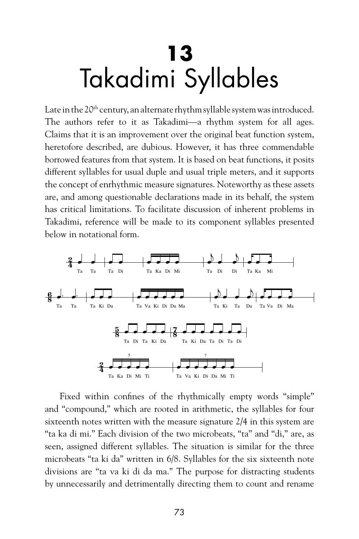## **13** Takadimi Syllables

Late in the 20<sup>th</sup> century, an alternate rhythm syllable system was introduced. The authors refer to it as Takadimi—a rhythm system for all ages. Claims that it is an improvement over the original beat function system, heretofore described, are dubious. However, it has three commendable borrowed features from that system. It is based on beat functions, it posits different syllables for usual duple and usual triple meters, and it supports the concept of enrhythmic measure signatures. Noteworthy as these assets are, and among questionable declarations made in its behalf, the system has critical limitations. To facilitate discussion of inherent problems in Takadimi, reference will be made to its component syllables presented below in notational form.



Fixed within confines of the rhythmically empty words "simple" and "compound," which are rooted in arithmetic, the syllables for four sixteenth notes written with the measure signature 2/4 in this system are "ta ka di mi." Each division of the two microbeats, "ta" and "di," are, as seen, assigned different syllables. The situation is similar for the three microbeats "ta ki da" written in 6/8. Syllables for the six sixteenth note divisions are "ta va ki di da ma." The purpose for distracting students by unnecessarily and detrimentally directing them to count and rename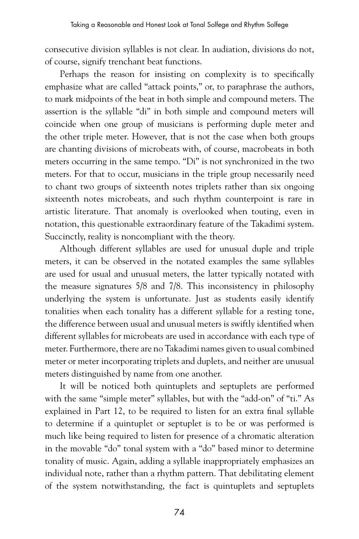consecutive division syllables is not clear. In audiation, divisions do not, of course, signify trenchant beat functions.

Perhaps the reason for insisting on complexity is to specifically emphasize what are called "attack points," or, to paraphrase the authors, to mark midpoints of the beat in both simple and compound meters. The assertion is the syllable "di" in both simple and compound meters will coincide when one group of musicians is performing duple meter and the other triple meter. However, that is not the case when both groups are chanting divisions of microbeats with, of course, macrobeats in both meters occurring in the same tempo. "Di" is not synchronized in the two meters. For that to occur, musicians in the triple group necessarily need to chant two groups of sixteenth notes triplets rather than six ongoing sixteenth notes microbeats, and such rhythm counterpoint is rare in artistic literature. That anomaly is overlooked when touting, even in notation, this questionable extraordinary feature of the Takadimi system. Succinctly, reality is noncompliant with the theory.

Although different syllables are used for unusual duple and triple meters, it can be observed in the notated examples the same syllables are used for usual and unusual meters, the latter typically notated with the measure signatures 5/8 and 7/8. This inconsistency in philosophy underlying the system is unfortunate. Just as students easily identify tonalities when each tonality has a different syllable for a resting tone, the difference between usual and unusual meters is swiftly identified when different syllables for microbeats are used in accordance with each type of meter. Furthermore, there are no Takadimi names given to usual combined meter or meter incorporating triplets and duplets, and neither are unusual meters distinguished by name from one another.

It will be noticed both quintuplets and septuplets are performed with the same "simple meter" syllables, but with the "add-on" of "ti." As explained in Part 12, to be required to listen for an extra final syllable to determine if a quintuplet or septuplet is to be or was performed is much like being required to listen for presence of a chromatic alteration in the movable "do" tonal system with a "do" based minor to determine tonality of music. Again, adding a syllable inappropriately emphasizes an individual note, rather than a rhythm pattern. That debilitating element of the system notwithstanding, the fact is quintuplets and septuplets